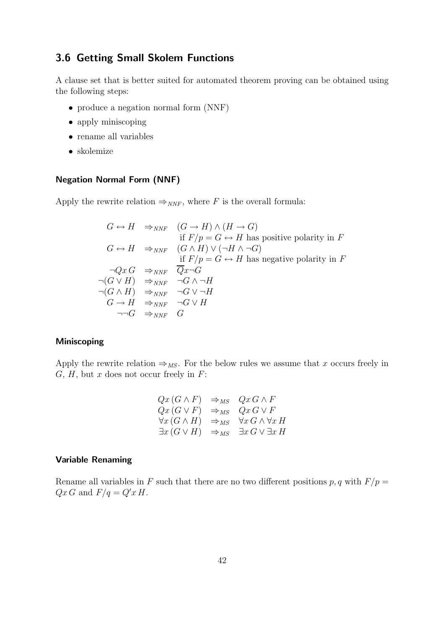# 3.6 Getting Small Skolem Functions

A clause set that is better suited for automated theorem proving can be obtained using the following steps:

- produce a negation normal form (NNF)
- apply miniscoping
- rename all variables
- skolemize

## Negation Normal Form (NNF)

Apply the rewrite relation  $\Rightarrow_{\mathit{NNF}}$ , where F is the overall formula:

$$
G \leftrightarrow H \Rightarrow_{NNF} (G \to H) \land (H \to G)
$$
  
if  $F/p = G \leftrightarrow H$  has positive polarity in  $F$   

$$
G \leftrightarrow H \Rightarrow_{NNF} (G \land H) \lor (\neg H \land \neg G)
$$
  
if  $F/p = G \leftrightarrow H$  has negative polarity in  $F$   

$$
\neg QxG \Rightarrow_{NNF} \overline{Q}x \neg G
$$
  

$$
\neg (G \lor H) \Rightarrow_{NNF} \neg G \land \neg H
$$
  

$$
\neg (G \land H) \Rightarrow_{NNF} \neg G \lor \neg H
$$
  

$$
G \to H \Rightarrow_{NNF} \neg G \lor H
$$
  

$$
\neg \neg G \Rightarrow_{NNF} G
$$

### Miniscoping

Apply the rewrite relation  $\Rightarrow_{MS}$ . For the below rules we assume that x occurs freely in  $G, H$ , but x does not occur freely in  $F$ :

$$
Qx (G \wedge F) \Rightarrow_{MS} Qx G \wedge F
$$
  
\n
$$
Qx (G \vee F) \Rightarrow_{MS} Qx G \vee F
$$
  
\n
$$
\forall x (G \wedge H) \Rightarrow_{MS} \forall x G \wedge \forall x H
$$
  
\n
$$
\exists x (G \vee H) \Rightarrow_{MS} \exists x G \vee \exists x H
$$

### Variable Renaming

Rename all variables in F such that there are no two different positions  $p, q$  with  $F/p =$  $Qx G$  and  $F/q = Q'x H$ .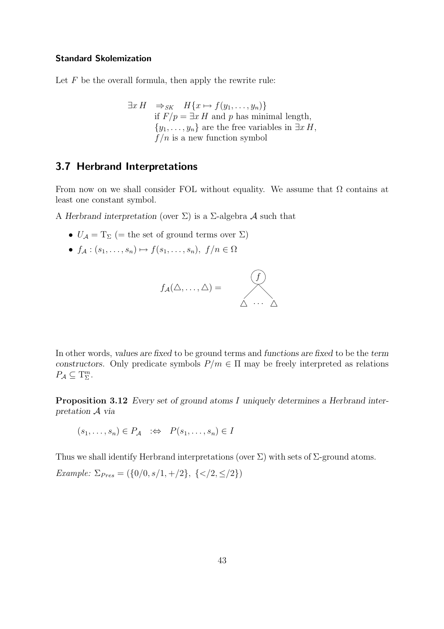#### Standard Skolemization

Let  $F$  be the overall formula, then apply the rewrite rule:

$$
\exists x H \Rightarrow_{SK} H\{x \mapsto f(y_1, \dots, y_n)\}
$$
  
if  $F/p = \exists x H$  and p has minimal length,  
 $\{y_1, \dots, y_n\}$  are the free variables in  $\exists x H$ ,  
 $f/n$  is a new function symbol

# 3.7 Herbrand Interpretations

From now on we shall consider FOL without equality. We assume that  $\Omega$  contains at least one constant symbol.

A Herbrand interpretation (over  $\Sigma$ ) is a  $\Sigma$ -algebra A such that

- $U_A = T_\Sigma$  (= the set of ground terms over  $\Sigma$ )
- $f_A : (s_1, \ldots, s_n) \mapsto f(s_1, \ldots, s_n), \ f/n \in \Omega$



In other words, values are fixed to be ground terms and functions are fixed to be the term constructors. Only predicate symbols  $P/m \in \Pi$  may be freely interpreted as relations  $P_{\mathcal{A}} \subseteq T_{\Sigma}^{m}$ .

Proposition 3.12 Every set of ground atoms I uniquely determines a Herbrand interpretation A via

$$
(s_1, \ldots, s_n) \in P_{\mathcal{A}} \quad \Rightarrow \quad P(s_1, \ldots, s_n) \in I
$$

Thus we shall identify Herbrand interpretations (over  $\Sigma$ ) with sets of  $\Sigma$ -ground atoms.

Example:  $\Sigma_{Pres} = (\{0/0, s/1, +/2\}, \{$